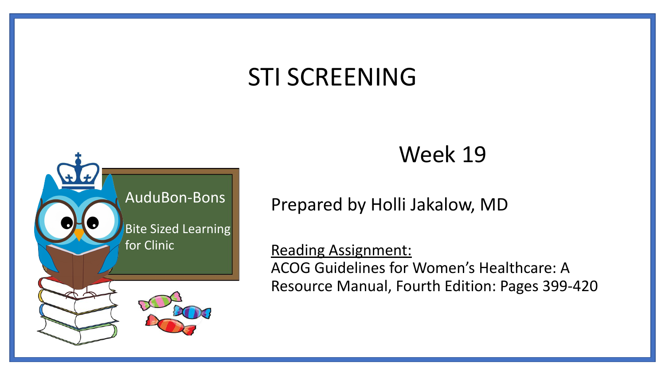## STI SCREENING



### Week 19

Prepared by Holli Jakalow, MD

Reading Assignment: ACOG Guidelines for Women's Healthcare: A Resource Manual, Fourth Edition: Pages 399-420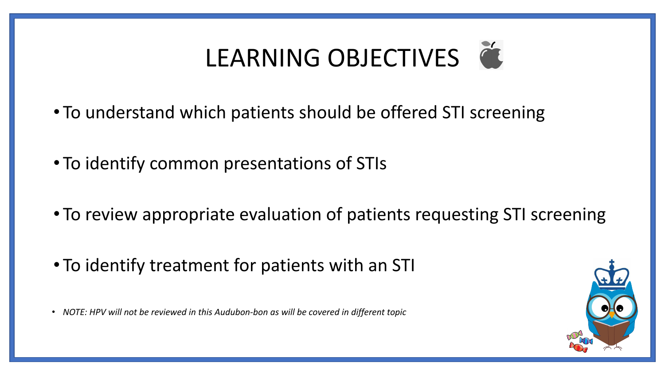# LEARNING OBJECTIVES

- To understand which patients should be offered STI screening
- To identify common presentations of STIs
- To review appropriate evaluation of patients requesting STI screening
- To identify treatment for patients with an STI
- *• NOTE: HPV will not be reviewed in this Audubon-bon as will be covered in different topic*

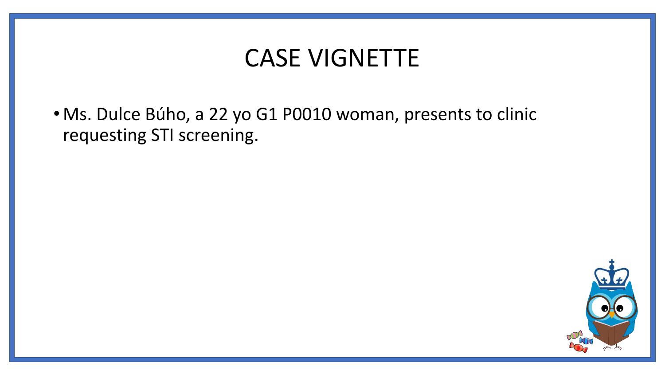### CASE VIGNETTE

• Ms. Dulce Búho, a 22 yo G1 P0010 woman, presents to clinic requesting STI screening.

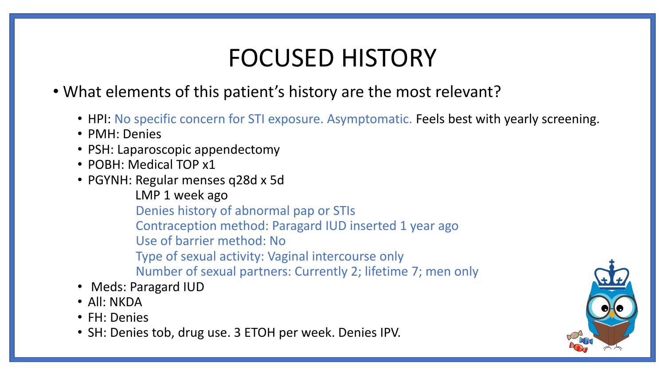## FOCUSED HISTORY

- What elements of this patient's history are the most relevant?
	- HPI: No specific concern for STI exposure. Asymptomatic. Feels best with yearly screening.
	- PMH: Denies
	- PSH: Laparoscopic appendectomy
	- POBH: Medical TOP x1
	- PGYNH: Regular menses q28d x 5d
		- LMP 1 week ago
		- Denies history of abnormal pap or STIs
		- Contraception method: Paragard IUD inserted 1 year ago
		- Use of barrier method: No
		- Type of sexual activity: Vaginal intercourse only
		- Number of sexual partners: Currently 2; lifetime 7; men only
	- Meds: Paragard IUD
	- All: NKDA
	- FH: Denies
	- SH: Denies tob, drug use. 3 ETOH per week. Denies IPV.

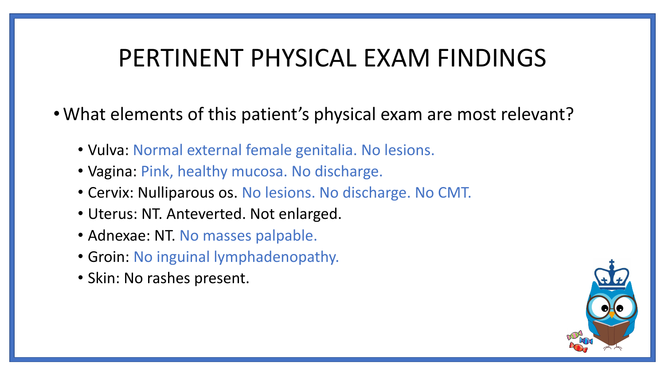### PERTINENT PHYSICAL EXAM FINDINGS

- •What elements of this patient's physical exam are most relevant?
	- Vulva: Normal external female genitalia. No lesions.
	- Vagina: Pink, healthy mucosa. No discharge.
	- Cervix: Nulliparous os. No lesions. No discharge. No CMT.
	- Uterus: NT. Anteverted. Not enlarged.
	- Adnexae: NT. No masses palpable.
	- Groin: No inguinal lymphadenopathy.
	- Skin: No rashes present.

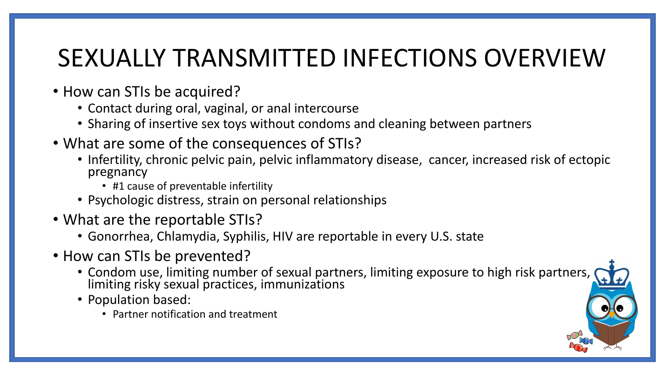## SEXUALLY TRANSMITTED INFECTIONS OVERVIEW

- How can STIs be acquired?
	- Contact during oral, vaginal, or anal intercourse
	- Sharing of insertive sex toys without condoms and cleaning between partners
- What are some of the consequences of STIs?
	- Infertility, chronic pelvic pain, pelvic inflammatory disease, cancer, increased risk of ectopic pregnancy
		- #1 cause of preventable infertility
	- Psychologic distress, strain on personal relationships
- What are the reportable STIs?
	- Gonorrhea, Chlamydia, Syphilis, HIV are reportable in every U.S. state
- How can STIs be prevented?
	- Condom use, limiting number of sexual partners, limiting exposure to high risk partners, limiting risky sexual practices, immunizations
	- Population based:
		- Partner notification and treatment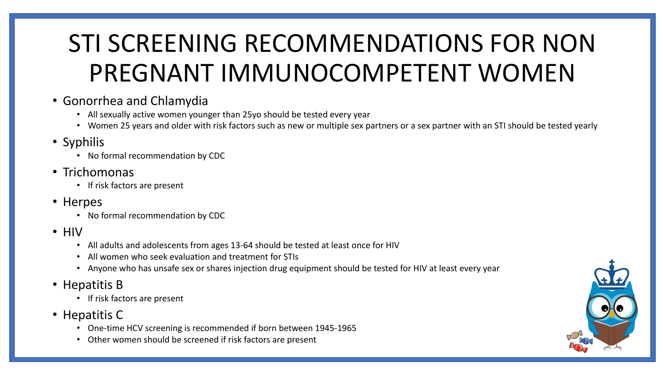## STI SCREENING RECOMMENDATIONS FOR NON PREGNANT IMMUNOCOMPETENT WOMEN

- Gonorrhea and Chlamydia
	- All sexually active women younger than 25yo should be tested every year
	- Women 25 years and older with risk factors such as new or multiple sex partners or a sex partner with an STI should be tested yearly
- Syphilis
	- No formal recommendation by CDC
- Trichomonas
	- If risk factors are present
- Herpes
	- No formal recommendation by CDC
- HIV
	- All adults and adolescents from ages 13-64 should be tested at least once for HIV
	- All women who seek evaluation and treatment for STIs
	- Anyone who has unsafe sex or shares injection drug equipment should be tested for HIV at least every year
- Hepatitis B
	- If risk factors are present
- Hepatitis C
	- One-time HCV screening is recommended if born between 1945-1965
	- Other women should be screened if risk factors are present

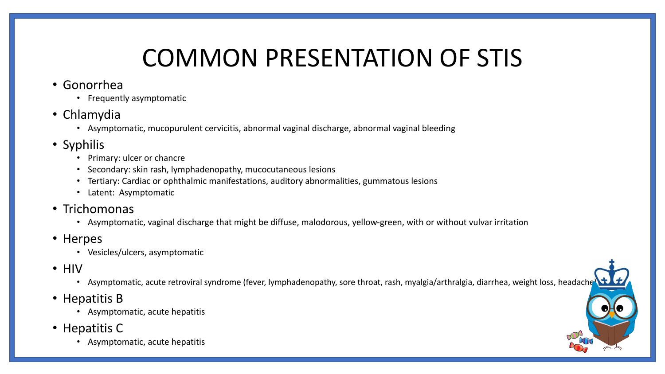## COMMON PRESENTATION OF STIS

- Gonorrhea
	- Frequently asymptomatic
- Chlamydia
	- Asymptomatic, mucopurulent cervicitis, abnormal vaginal discharge, abnormal vaginal bleeding
- Syphilis
	- Primary: ulcer or chancre
	- Secondary: skin rash, lymphadenopathy, mucocutaneous lesions
	- Tertiary: Cardiac or ophthalmic manifestations, auditory abnormalities, gummatous lesions
	- Latent: Asymptomatic
- Trichomonas
	- Asymptomatic, vaginal discharge that might be diffuse, malodorous, yellow-green, with or without vulvar irritation
- Herpes
	- Vesicles/ulcers, asymptomatic
- HIV
	- Asymptomatic, acute retroviral syndrome (fever, lymphadenopathy, sore throat, rash, myalgia/arthralgia, diarrhea, weight loss, headache
- Hepatitis B
	- Asymptomatic, acute hepatitis
- Hepatitis C
	- Asymptomatic, acute hepatitis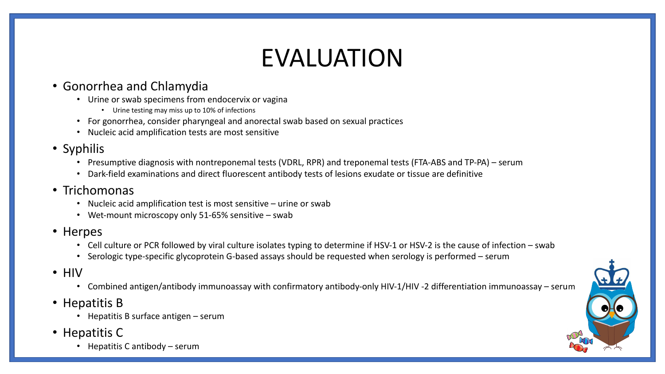## EVALUATION

### • Gonorrhea and Chlamydia

- Urine or swab specimens from endocervix or vagina
	- Urine testing may miss up to 10% of infections
- For gonorrhea, consider pharyngeal and anorectal swab based on sexual practices
- Nucleic acid amplification tests are most sensitive

### • Syphilis

- Presumptive diagnosis with nontreponemal tests (VDRL, RPR) and treponemal tests (FTA-ABS and TP-PA) serum
- Dark-field examinations and direct fluorescent antibody tests of lesions exudate or tissue are definitive

### • Trichomonas

- Nucleic acid amplification test is most sensitive urine or swab
- Wet-mount microscopy only 51-65% sensitive swab
- Herpes
	- Cell culture or PCR followed by viral culture isolates typing to determine if HSV-1 or HSV-2 is the cause of infection swab
	- Serologic type-specific glycoprotein G-based assays should be requested when serology is performed serum
- HIV
	- Combined antigen/antibody immunoassay with confirmatory antibody-only HIV-1/HIV -2 differentiation immunoassay serum
- Hepatitis B
	- Hepatitis B surface antigen serum
- Hepatitis C
	- Hepatitis C antibody serum

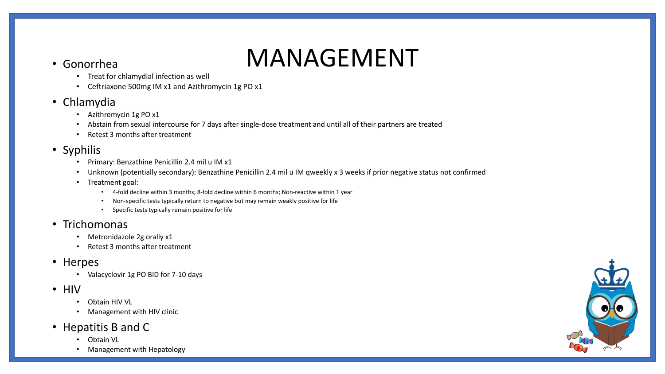## • Gonorrhea MANAGEMENT

- Treat for chlamydial infection as well
- Ceftriaxone 500mg IM x1 and Azithromycin 1g PO x1
- Chlamydia
	- Azithromycin 1g PO x1
	- Abstain from sexual intercourse for 7 days after single-dose treatment and until all of their partners are treated
	- Retest 3 months after treatment
- Syphilis
	- Primary: Benzathine Penicillin 2.4 mil u IM x1
	- Unknown (potentially secondary): Benzathine Penicillin 2.4 mil u IM qweekly x 3 weeks if prior negative status not confirmed
	- Treatment goal:
		- 4-fold decline within 3 months; 8-fold decline within 6 months; Non-reactive within 1 year
		- Non-specific tests typically return to negative but may remain weakly positive for life
		- Specific tests typically remain positive for life

### • Trichomonas

- Metronidazole 2g orally x1
- Retest 3 months after treatment

### • Herpes

- Valacyclovir 1g PO BID for 7-10 days
- HIV
	- Obtain HIV VL
	- Management with HIV clinic
- Hepatitis B and C
	- Obtain VL
	- Management with Hepatology

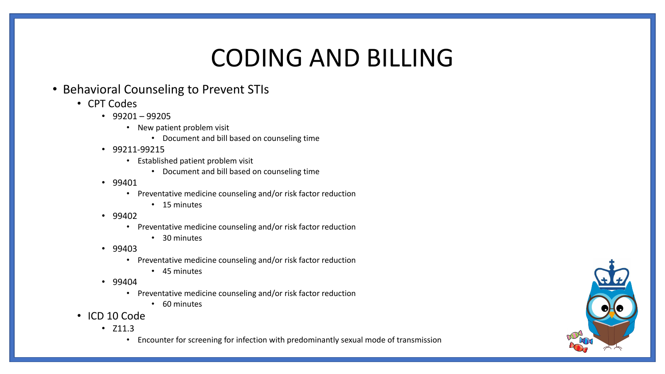### CODING AND BILLING

### • Behavioral Counseling to Prevent STIs

- CPT Codes
	- $•$  99201 99205
		- New patient problem visit
			- Document and bill based on counseling time
	- 99211-99215
		- Established patient problem visit
			- Document and bill based on counseling time
	- 99401
		- Preventative medicine counseling and/or risk factor reduction
			- 15 minutes
	- 99402
		- Preventative medicine counseling and/or risk factor reduction
			- 30 minutes
	- 99403
		- Preventative medicine counseling and/or risk factor reduction
			- 45 minutes
	- 99404
		- Preventative medicine counseling and/or risk factor reduction
			- 60 minutes
- ICD 10 Code
	- Z11.3
		- Encounter for screening for infection with predominantly sexual mode of transmission

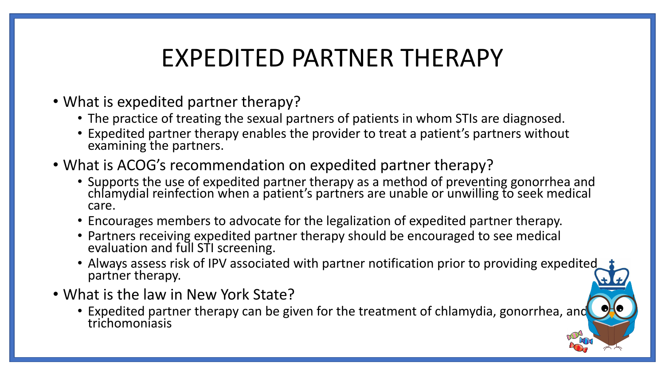## EXPEDITED PARTNER THERAPY

- What is expedited partner therapy?
	- The practice of treating the sexual partners of patients in whom STIs are diagnosed.
	- Expedited partner therapy enables the provider to treat a patient's partners without examining the partners.
- What is ACOG's recommendation on expedited partner therapy?
	- Supports the use of expedited partner therapy as a method of preventing gonorrhea and chlamydial reinfection when a patient's partners are unable or unwilling to seek medical care.
	- Encourages members to advocate for the legalization of expedited partner therapy.
	- Partners receiving expedited partner therapy should be encouraged to see medical evaluation and full STI screening.
	- Always assess risk of IPV associated with partner notification prior to providing expedited partner therapy.
- What is the law in New York State?
	- Expedited partner therapy can be given for the treatment of chlamydia, gonorrhea, and trichomoniasis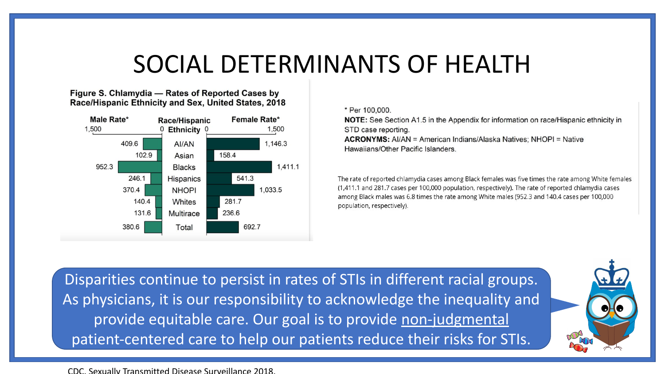### SOCIAL DETERMINANTS OF HEALTH

Figure S. Chlamydia - Rates of Reported Cases by Race/Hispanic Ethnicity and Sex, United States, 2018



### \* Per 100,000.

NOTE: See Section A1.5 in the Appendix for information on race/Hispanic ethnicity in STD case reporting. **ACRONYMS:** Al/AN = American Indians/Alaska Natives; NHOPI = Native

Hawaiians/Other Pacific Islanders.

The rate of reported chlamydia cases among Black females was five times the rate among White females (1,411.1 and 281.7 cases per 100,000 population, respectively). The rate of reported chlamydia cases among Black males was 6.8 times the rate among White males (952.3 and 140.4 cases per 100,000 population, respectively).

Disparities continue to persist in rates of STIs in different racial groups. As physicians, it is our responsibility to acknowledge the inequality and provide equitable care. Our goal is to provide non-judgmental patient-centered care to help our patients reduce their risks for STIs.

CDC. Sexually Transmitted Disease Surveillance 2018.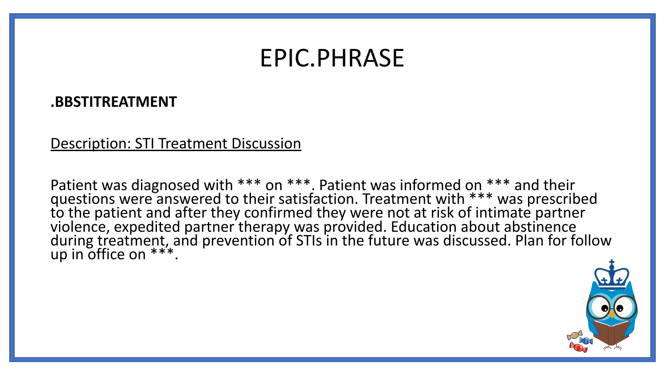### EPIC.PHRASE

### **.BBSTITREATMENT**

### Description: STI Treatment Discussion

Patient was diagnosed with \*\*\* on \*\*\*. Patient was informed on \*\*\* and their questions were answered to their satisfaction. Treatment with \*\*\* was prescribed to the patient and after they confirmed they were not at risk of intimate partner violence, expedited partner therapy was provided. Education about abstinence during treatment, and prevention of STIs in the future was discussed. Plan for follow up in office on \*\*\*.

![](_page_13_Picture_4.jpeg)